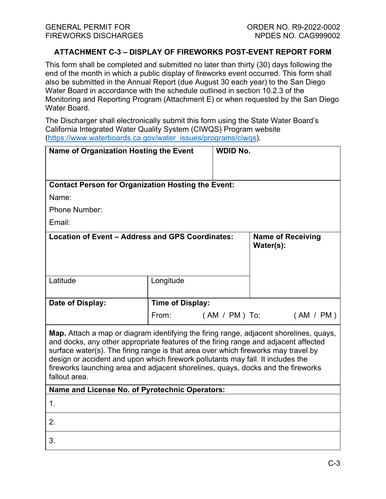## **ATTACHMENT C-3 – DISPLAY OF FIREWORKS POST-EVENT REPORT FORM**

This form shall be completed and submitted no later than thirty (30) days following the end of the month in which a public display of fireworks event occurred. This form shall also be submitted in the Annual Report (due August 30 each year) to the San Diego Water Board in accordance with the schedule outlined in section 10.2.3 of the Monitoring and Reporting Program (Attachment E) or when requested by the San Diego Water Board.

The Discharger shall electronically submit this form using the State Water Board's California Integrated Water Quality System (CIWQS) Program website ([https://www.waterboards.ca.gov/water\\_issues/programs/ciwqs\)](https://www.waterboards.ca.gov/water_issues/programs/ciwqs).

| Name of Organization Hosting the Event                                                                                                                                                                                                                                                                                                                                                                                                                      |                         | <b>WDID No.</b> |                                       |           |
|-------------------------------------------------------------------------------------------------------------------------------------------------------------------------------------------------------------------------------------------------------------------------------------------------------------------------------------------------------------------------------------------------------------------------------------------------------------|-------------------------|-----------------|---------------------------------------|-----------|
| <b>Contact Person for Organization Hosting the Event:</b>                                                                                                                                                                                                                                                                                                                                                                                                   |                         |                 |                                       |           |
| Name:                                                                                                                                                                                                                                                                                                                                                                                                                                                       |                         |                 |                                       |           |
| <b>Phone Number:</b>                                                                                                                                                                                                                                                                                                                                                                                                                                        |                         |                 |                                       |           |
| Email:                                                                                                                                                                                                                                                                                                                                                                                                                                                      |                         |                 |                                       |           |
| Location of Event - Address and GPS Coordinates:                                                                                                                                                                                                                                                                                                                                                                                                            |                         |                 | <b>Name of Receiving</b><br>Water(s): |           |
| Latitude                                                                                                                                                                                                                                                                                                                                                                                                                                                    | Longitude               |                 |                                       |           |
| Date of Display:                                                                                                                                                                                                                                                                                                                                                                                                                                            | <b>Time of Display:</b> |                 |                                       |           |
|                                                                                                                                                                                                                                                                                                                                                                                                                                                             | From:                   | ( AM / PM ) To: |                                       | (AM / PM) |
| Map. Attach a map or diagram identifying the firing range, adjacent shorelines, quays,<br>and docks, any other appropriate features of the firing range and adjacent affected<br>surface water(s). The firing range is that area over which fireworks may travel by<br>design or accident and upon which firework pollutants may fall. It includes the<br>fireworks launching area and adjacent shorelines, quays, docks and the fireworks<br>fallout area. |                         |                 |                                       |           |
| Name and License No. of Pyrotechnic Operators:                                                                                                                                                                                                                                                                                                                                                                                                              |                         |                 |                                       |           |
| $\mathbf{1}$ .                                                                                                                                                                                                                                                                                                                                                                                                                                              |                         |                 |                                       |           |
| 2.                                                                                                                                                                                                                                                                                                                                                                                                                                                          |                         |                 |                                       |           |
| 3.                                                                                                                                                                                                                                                                                                                                                                                                                                                          |                         |                 |                                       |           |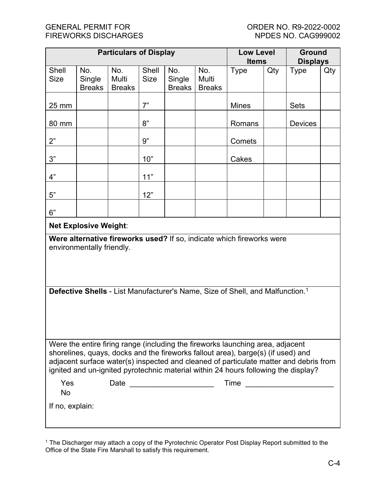| <b>Particulars of Display</b>                                                                                                                                                                                                                                                                                                                     |                                |                               |                      | <b>Low Level</b><br><b>Items</b> |                               | <b>Ground</b><br><b>Displays</b> |     |                |     |
|---------------------------------------------------------------------------------------------------------------------------------------------------------------------------------------------------------------------------------------------------------------------------------------------------------------------------------------------------|--------------------------------|-------------------------------|----------------------|----------------------------------|-------------------------------|----------------------------------|-----|----------------|-----|
| Shell<br><b>Size</b>                                                                                                                                                                                                                                                                                                                              | No.<br>Single<br><b>Breaks</b> | No.<br>Multi<br><b>Breaks</b> | Shell<br><b>Size</b> | No.<br>Single<br><b>Breaks</b>   | No.<br>Multi<br><b>Breaks</b> | <b>Type</b>                      | Qty | <b>Type</b>    | Qty |
| 25 mm                                                                                                                                                                                                                                                                                                                                             |                                |                               | 7"                   |                                  |                               | <b>Mines</b>                     |     | <b>Sets</b>    |     |
| 80 mm                                                                                                                                                                                                                                                                                                                                             |                                |                               | 8"                   |                                  |                               | Romans                           |     | <b>Devices</b> |     |
| 2"                                                                                                                                                                                                                                                                                                                                                |                                |                               | 9"                   |                                  |                               | Comets                           |     |                |     |
| 3"                                                                                                                                                                                                                                                                                                                                                |                                |                               | 10"                  |                                  |                               | Cakes                            |     |                |     |
| 4"                                                                                                                                                                                                                                                                                                                                                |                                |                               | 11"                  |                                  |                               |                                  |     |                |     |
| 5"                                                                                                                                                                                                                                                                                                                                                |                                |                               | 12"                  |                                  |                               |                                  |     |                |     |
| 6"                                                                                                                                                                                                                                                                                                                                                |                                |                               |                      |                                  |                               |                                  |     |                |     |
| <b>Net Explosive Weight:</b>                                                                                                                                                                                                                                                                                                                      |                                |                               |                      |                                  |                               |                                  |     |                |     |
| Were alternative fireworks used? If so, indicate which fireworks were<br>environmentally friendly.                                                                                                                                                                                                                                                |                                |                               |                      |                                  |                               |                                  |     |                |     |
| Defective Shells - List Manufacturer's Name, Size of Shell, and Malfunction. <sup>1</sup>                                                                                                                                                                                                                                                         |                                |                               |                      |                                  |                               |                                  |     |                |     |
| Were the entire firing range (including the fireworks launching area, adjacent<br>shorelines, quays, docks and the fireworks fallout area), barge(s) (if used) and<br>adjacent surface water(s) inspected and cleaned of particulate matter and debris from<br>ignited and un-ignited pyrotechnic material within 24 hours following the display? |                                |                               |                      |                                  |                               |                                  |     |                |     |
| Yes<br><b>No</b>                                                                                                                                                                                                                                                                                                                                  |                                |                               |                      | Date __________________________  |                               | Time _________________________   |     |                |     |
| If no, explain:                                                                                                                                                                                                                                                                                                                                   |                                |                               |                      |                                  |                               |                                  |     |                |     |

<span id="page-1-0"></span> $^{\text{1}}$  The Discharger may attach a copy of the Pyrotechnic Operator Post Display Report submitted to the Office of the State Fire Marshall to satisfy this requirement.